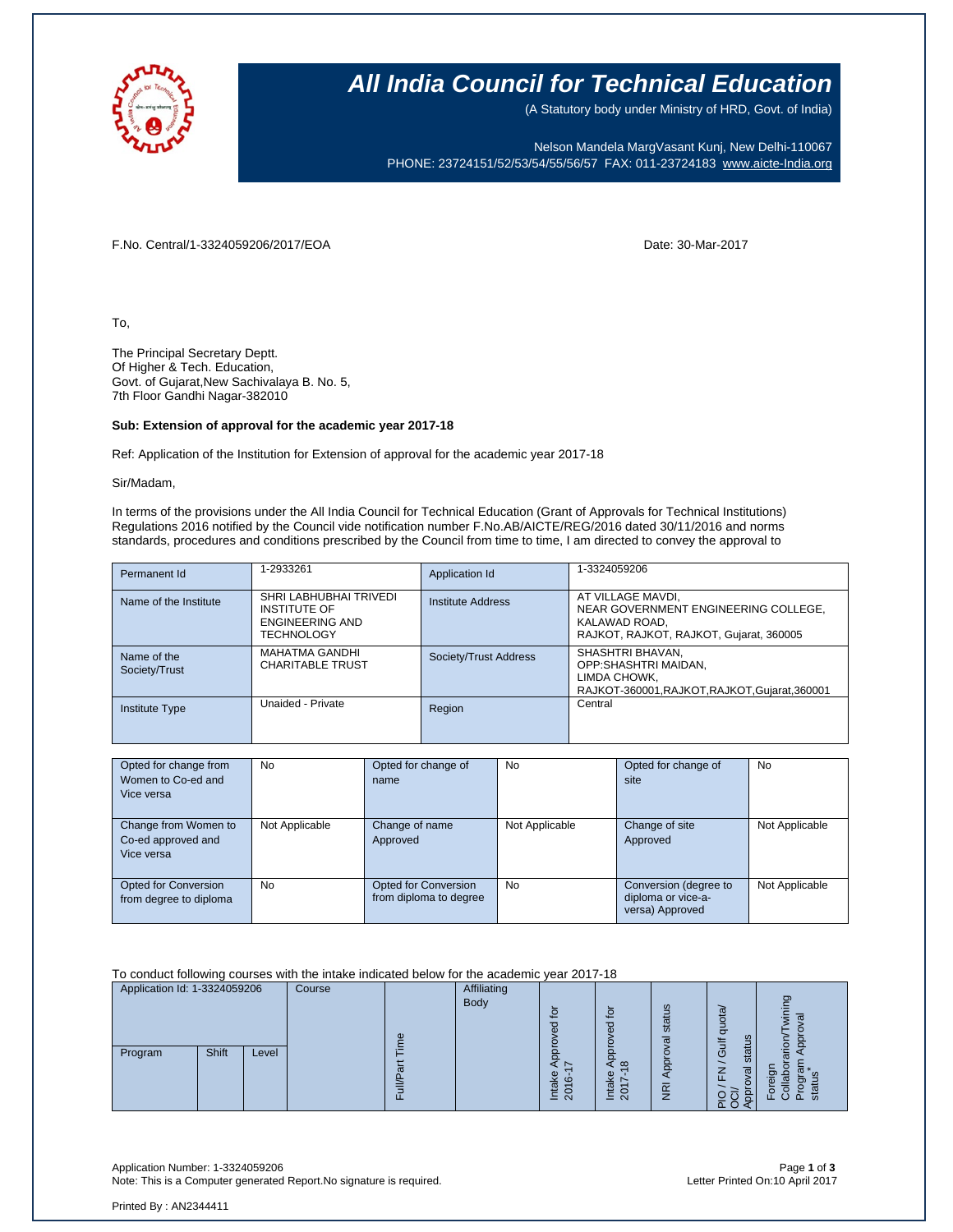

## **All India Council for Technical Education**

(A Statutory body under Ministry of HRD, Govt. of India)

Nelson Mandela MargVasant Kunj, New Delhi-110067 PHONE: 23724151/52/53/54/55/56/57 FAX: 011-23724183 [www.aicte-India.org](http://www.aicte-india.org/)

F.No. Central/1-3324059206/2017/EOA Date: 30-Mar-2017

To,

The Principal Secretary Deptt. Of Higher & Tech. Education, Govt. of Gujarat,New Sachivalaya B. No. 5, 7th Floor Gandhi Nagar-382010

## **Sub: Extension of approval for the academic year 2017-18**

Ref: Application of the Institution for Extension of approval for the academic year 2017-18

Sir/Madam,

In terms of the provisions under the All India Council for Technical Education (Grant of Approvals for Technical Institutions) Regulations 2016 notified by the Council vide notification number F.No.AB/AICTE/REG/2016 dated 30/11/2016 and norms standards, procedures and conditions prescribed by the Council from time to time, I am directed to convey the approval to

| Permanent Id                 | 1-2933261                                                                                    | Application Id        | 1-3324059206                                                                                                          |
|------------------------------|----------------------------------------------------------------------------------------------|-----------------------|-----------------------------------------------------------------------------------------------------------------------|
| Name of the Institute        | SHRI LABHUBHAI TRIVEDI<br><b>INSTITUTE OF</b><br><b>ENGINEERING AND</b><br><b>TECHNOLOGY</b> | Institute Address     | AT VILLAGE MAVDI,<br>NEAR GOVERNMENT ENGINEERING COLLEGE,<br>KALAWAD ROAD,<br>RAJKOT, RAJKOT, RAJKOT, Gujarat, 360005 |
| Name of the<br>Society/Trust | <b>MAHATMA GANDHI</b><br><b>CHARITABLE TRUST</b>                                             | Society/Trust Address | SHASHTRI BHAVAN.<br>OPP:SHASHTRI MAIDAN.<br>LIMDA CHOWK.<br>RAJKOT-360001, RAJKOT, RAJKOT, Gujarat, 360001            |
| <b>Institute Type</b>        | Unaided - Private                                                                            | Region                | Central                                                                                                               |

| Opted for change from<br>Women to Co-ed and<br>Vice versa | <b>No</b>      | Opted for change of<br>name                    | No             | Opted for change of<br>site                                    | No             |
|-----------------------------------------------------------|----------------|------------------------------------------------|----------------|----------------------------------------------------------------|----------------|
| Change from Women to<br>Co-ed approved and<br>Vice versa  | Not Applicable | Change of name<br>Approved                     | Not Applicable | Change of site<br>Approved                                     | Not Applicable |
| <b>Opted for Conversion</b><br>from degree to diploma     | <b>No</b>      | Opted for Conversion<br>from diploma to degree | <b>No</b>      | Conversion (degree to<br>diploma or vice-a-<br>versa) Approved | Not Applicable |

To conduct following courses with the intake indicated below for the academic year 2017-18

| Application Id: 1-3324059206 | Course |   | <b>Affiliating</b> |                                                    |                                                                            |                                |                                |                               |
|------------------------------|--------|---|--------------------|----------------------------------------------------|----------------------------------------------------------------------------|--------------------------------|--------------------------------|-------------------------------|
|                              |        | Φ | Body               | ڡ<br>ਠ                                             | $\mathbf{S}$<br>ರ<br>Φ                                                     | ဖာ<br>ā<br>ಕ<br>σ              | quota<br>ದ<br>ŧ                | O)<br>σ                       |
| Shift<br>Program             | Level  | ω |                    | Φ<br>$\circ$<br>ω<br>0<br>$\overline{N}$<br>느<br>– | $\infty$<br>Φ<br>斋<br>$\overline{\phantom{0}}$<br>₩<br>c<br>$\bar{N}$<br>≐ | ă<br>$\widetilde{\mathcal{F}}$ | ≂<br>stai<br>O<br>⇁<br>ᄄ<br>ᅚᆼ | ِءَ<br>∽<br>m<br>ΩQ<br>o<br>ळ |

Application Number: 1-3324059206 Page **1** of **3** Note: This is a Computer generated Report.No signature is required.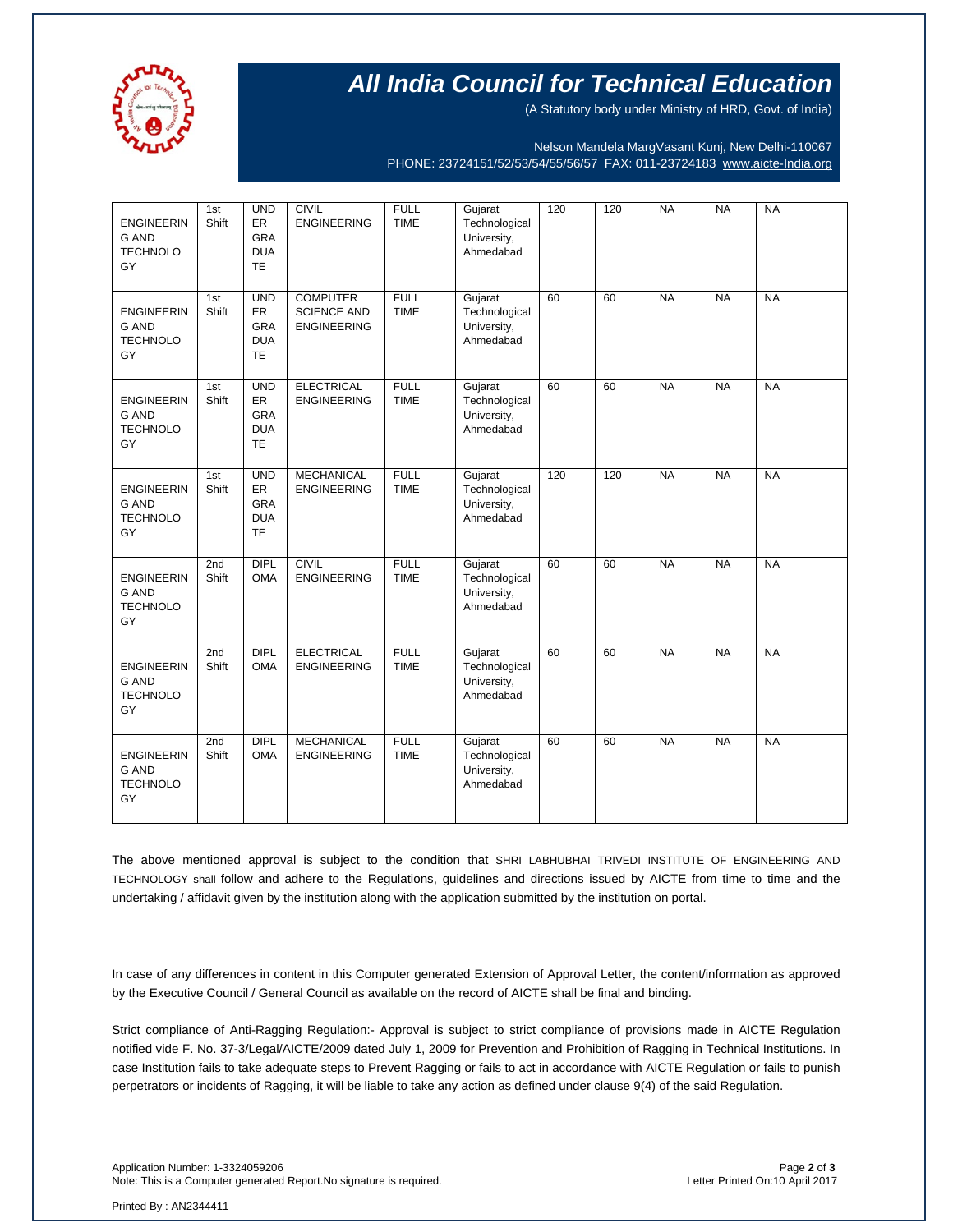

## **All India Council for Technical Education**

(A Statutory body under Ministry of HRD, Govt. of India)

Nelson Mandela MargVasant Kunj, New Delhi-110067 PHONE: 23724151/52/53/54/55/56/57 FAX: 011-23724183 [www.aicte-India.org](http://www.aicte-india.org/)

| <b>ENGINEERIN</b><br><b>G AND</b><br><b>TECHNOLO</b><br>GY | 1st<br>Shift | <b>UND</b><br>ER<br><b>GRA</b><br><b>DUA</b><br><b>TE</b> | <b>CIVIL</b><br><b>ENGINEERING</b>                          | <b>FULL</b><br><b>TIME</b> | Gujarat<br>Technological<br>University,<br>Ahmedabad | 120 | 120 | <b>NA</b> | <b>NA</b> | <b>NA</b> |
|------------------------------------------------------------|--------------|-----------------------------------------------------------|-------------------------------------------------------------|----------------------------|------------------------------------------------------|-----|-----|-----------|-----------|-----------|
| <b>ENGINEERIN</b><br><b>G AND</b><br><b>TECHNOLO</b><br>GY | 1st<br>Shift | <b>UND</b><br><b>ER</b><br>GRA<br><b>DUA</b><br><b>TE</b> | <b>COMPUTER</b><br><b>SCIENCE AND</b><br><b>ENGINEERING</b> | <b>FULL</b><br><b>TIME</b> | Gujarat<br>Technological<br>University,<br>Ahmedabad | 60  | 60  | <b>NA</b> | <b>NA</b> | <b>NA</b> |
| <b>ENGINEERIN</b><br>G AND<br><b>TECHNOLO</b><br>GY        | 1st<br>Shift | <b>UND</b><br>ER<br>GRA<br><b>DUA</b><br><b>TE</b>        | <b>ELECTRICAL</b><br><b>ENGINEERING</b>                     | <b>FULL</b><br><b>TIME</b> | Gujarat<br>Technological<br>University,<br>Ahmedabad | 60  | 60  | <b>NA</b> | <b>NA</b> | <b>NA</b> |
| <b>ENGINEERIN</b><br><b>G AND</b><br><b>TECHNOLO</b><br>GY | 1st<br>Shift | <b>UND</b><br>ER<br>GRA<br><b>DUA</b><br><b>TE</b>        | <b>MECHANICAL</b><br><b>ENGINEERING</b>                     | <b>FULL</b><br><b>TIME</b> | Gujarat<br>Technological<br>University,<br>Ahmedabad | 120 | 120 | <b>NA</b> | <b>NA</b> | <b>NA</b> |
| <b>ENGINEERIN</b><br><b>G AND</b><br><b>TECHNOLO</b><br>GY | 2nd<br>Shift | <b>DIPL</b><br><b>OMA</b>                                 | <b>CIVIL</b><br><b>ENGINEERING</b>                          | <b>FULL</b><br><b>TIME</b> | Gujarat<br>Technological<br>University,<br>Ahmedabad | 60  | 60  | <b>NA</b> | <b>NA</b> | <b>NA</b> |
| <b>ENGINEERIN</b><br><b>G AND</b><br><b>TECHNOLO</b><br>GY | 2nd<br>Shift | <b>DIPL</b><br><b>OMA</b>                                 | <b>ELECTRICAL</b><br><b>ENGINEERING</b>                     | <b>FULL</b><br><b>TIME</b> | Gujarat<br>Technological<br>University,<br>Ahmedabad | 60  | 60  | <b>NA</b> | <b>NA</b> | <b>NA</b> |
| <b>ENGINEERIN</b><br><b>G AND</b><br><b>TECHNOLO</b><br>GY | 2nd<br>Shift | <b>DIPL</b><br><b>OMA</b>                                 | <b>MECHANICAL</b><br><b>ENGINEERING</b>                     | <b>FULL</b><br><b>TIME</b> | Gujarat<br>Technological<br>University,<br>Ahmedabad | 60  | 60  | <b>NA</b> | <b>NA</b> | <b>NA</b> |

The above mentioned approval is subject to the condition that SHRI LABHUBHAI TRIVEDI INSTITUTE OF ENGINEERING AND TECHNOLOGY shall follow and adhere to the Regulations, guidelines and directions issued by AICTE from time to time and the undertaking / affidavit given by the institution along with the application submitted by the institution on portal.

In case of any differences in content in this Computer generated Extension of Approval Letter, the content/information as approved by the Executive Council / General Council as available on the record of AICTE shall be final and binding.

Strict compliance of Anti-Ragging Regulation:- Approval is subject to strict compliance of provisions made in AICTE Regulation notified vide F. No. 37-3/Legal/AICTE/2009 dated July 1, 2009 for Prevention and Prohibition of Ragging in Technical Institutions. In case Institution fails to take adequate steps to Prevent Ragging or fails to act in accordance with AICTE Regulation or fails to punish perpetrators or incidents of Ragging, it will be liable to take any action as defined under clause 9(4) of the said Regulation.

Printed By : AN2344411